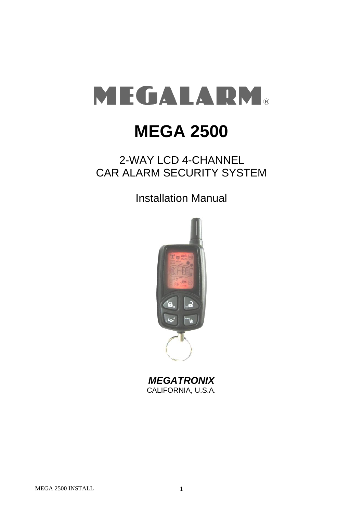# MEGALARM®

# **MEGA 2500**

# 2-WAY LCD 4-CHANNEL CAR ALARM SECURITY SYSTEM

Installation Manual



*MEGATRONIX* CALIFORNIA, U.S.A.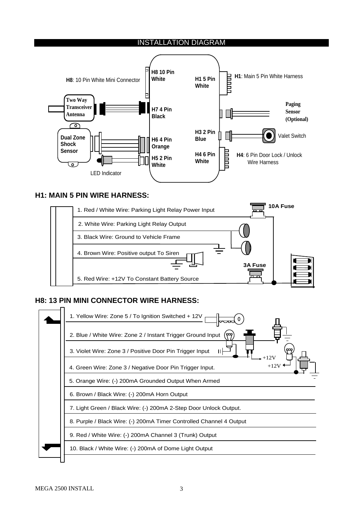#### INSTALLATION DIAGRAM



#### **H1: MAIN 5 PIN WIRE HARNESS:**



# **H8: 13 PIN MINI CONNECTOR WIRE HARNESS:**

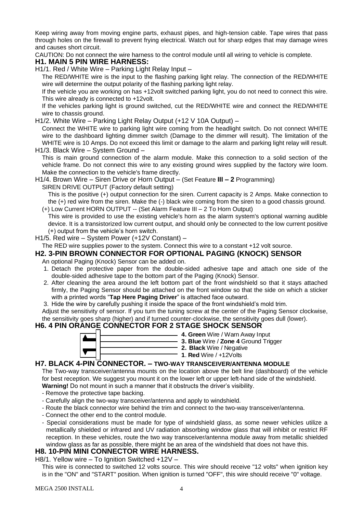Keep wiring away from moving engine parts, exhaust pipes, and high-tension cable. Tape wires that pass through holes on the firewall to prevent frying electrical. Watch out for sharp edges that may damage wires and causes short circuit.

CAUTION: Do not connect the wire harness to the control module until all wiring to vehicle is complete.

#### **H1. MAIN 5 PIN WIRE HARNESS:**

H1/1. Red / White Wire – Parking Light Relay Input –

The RED/WHITE wire is the input to the flashing parking light relay. The connection of the RED/WHITE wire will determine the output polarity of the flashing parking light relay.

If the vehicle you are working on has +12volt switched parking light, you do not need to connect this wire. This wire already is connected to +12volt.

If the vehicles parking light is ground switched, cut the RED/WHITE wire and connect the RED/WHITE wire to chassis ground.

H1/2. White Wire – Parking Light Relay Output (+12 V 10A Output) –

Connect the WHITE wire to parking light wire coming from the headlight switch. Do not connect WHITE wire to the dashboard lighting dimmer switch (Damage to the dimmer will result). The limitation of the WHITE wire is 10 Amps. Do not exceed this limit or damage to the alarm and parking light relay will result. H1/3. Black Wire – System Ground –

- This is main ground connection of the alarm module. Make this connection to a solid section of the vehicle frame. Do not connect this wire to any existing ground wires supplied by the factory wire loom. Make the connection to the vehicle's frame directly.
- H1/4. Brown Wire Siren Drive or Horn Output (Set Feature **III – 2** Programming)

SIREN DRIVE OUTPUT (Factory default setting)

This is the positive (+) output connection for the siren. Current capacity is 2 Amps. Make connection to the (+) red wire from the siren. Make the (-) black wire coming from the siren to a good chassis ground.

(+) Low Current HORN OUTPUT -- (Set Alarm Feature III – 2 To Horn Output)

This wire is provided to use the existing vehicle's horn as the alarm system's optional warning audible device. It is a transistorized low current output, and should only be connected to the low current positive (+) output from the vehicle's horn switch.

H1/5. Red wire – System Power (+12V Constant) –

The RED wire supplies power to the system. Connect this wire to a constant +12 volt source.

# **H2. 3-PIN BROWN CONNECTOR FOR OPTIONAL PAGING (KNOCK) SENSOR**

An optional Paging (Knock) Sensor can be added on.

- 1. Detach the protective paper from the double-sided adhesive tape and attach one side of the double-sided adhesive tape to the bottom part of the Paging (Knock) Sensor.
- 2. After cleaning the area around the left bottom part of the front windshield so that it stays attached firmly, the Paging Sensor should be attached on the front window so that the side on which a sticker with a printed words "**Tap Here Paging Driver**" is attached face outward.
- 3. Hide the wire by carefully pushing it inside the space of the front windshield's mold trim.

Adjust the sensitivity of sensor. If you turn the tuning screw at the center of the Paging Sensor clockwise, the sensitivity goes sharp (higher) and if turned counter-clockwise, the sensitivity goes dull (lower).

# **H6. 4 PIN ORANGE CONNECTOR FOR 2 STAGE SHOCK SENSOR**



- **4. Green** Wire / Warn Away Input
- **3. Blue** Wire / **Zone 4** Ground Trigger
- **2. Black** Wire / Negative
	- **1**. **Red** Wire / +12Volts

#### **H7. BLACK 4-PIN CONNECTOR. – TWO-WAY TRANSCEIVER/ANTENNA MODULE**

The Two-way transceiver/antenna mounts on the location above the belt line (dashboard) of the vehicle for best reception. We suggest you mount it on the lower left or upper left-hand side of the windshield.

**Warning!** Do not mount in such a manner that it obstructs the driver's visibility.

- Remove the protective tape backing.
- Carefully align the two-way transceiver/antenna and apply to windshield.
- Route the black connector wire behind the trim and connect to the two-way transceiver/antenna.
- Connect the other end to the control module.
- Special considerations must be made for type of windshield glass, as some newer vehicles utilize a metallically shielded or infrared and UV radiation absorbing window glass that will inhibit or restrict RF reception. In these vehicles, route the two way transceiver/antenna module away from metallic shielded window glass as far as possible, there might be an area of the windshield that does not have this.

# **H8. 10-PIN MINI CONNECTOR WIRE HARNESS.**

H8/1. Yellow wire – To Ignition Switched +12V –

This wire is connected to switched 12 volts source. This wire should receive "12 volts" when ignition key is in the "ON" and "START" position. When ignition is turned "OFF", this wire should receive "0" voltage.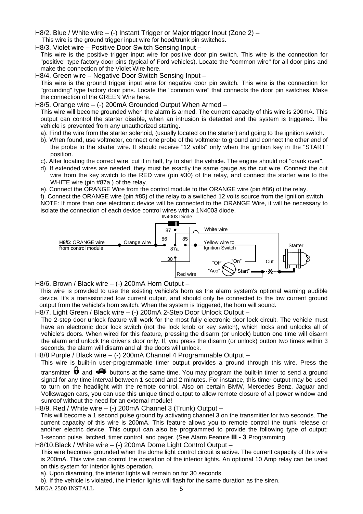- H8/2. Blue / White wire (-) Instant Trigger or Major trigger Input (Zone 2) –
- This wire is the ground trigger input wire for hood/trunk pin switches.
- H8/3. Violet wire Positive Door Switch Sensing Input –

This wire is the positive trigger input wire for positive door pin switch. This wire is the connection for "positive" type factory door pins (typical of Ford vehicles). Locate the "common wire" for all door pins and make the connection of the Violet Wire here.

H8/4. Green wire – Negative Door Switch Sensing Input –

This wire is the ground trigger input wire for negative door pin switch. This wire is the connection for "grounding" type factory door pins. Locate the "common wire" that connects the door pin switches. Make the connection of the GREEN Wire here.

#### H8/5. Orange wire – (-) 200mA Grounded Output When Armed –

This wire will become grounded when the alarm is armed. The current capacity of this wire is 200mA. This output can control the starter disable, when an intrusion is detected and the system is triggered. The vehicle is prevented from any unauthorized starting.

- a). Find the wire from the starter solenoid, (usually located on the starter) and going to the ignition switch.
- b). When found, use voltmeter, connect one probe of the voltmeter to ground and connect the other end of the probe to the starter wire. It should receive "12 volts" only when the ignition key in the "START" position.
- c). After locating the correct wire, cut it in half, try to start the vehicle. The engine should not "crank over".
- d). If extended wires are needed, they must be exactly the same gauge as the cut wire. Connect the cut wire from the key switch to the RED wire (pin #30) of the relay, and connect the starter wire to the WHITE wire (pin #87a ) of the relay.
- e). Connect the ORANGE Wire from the control module to the ORANGE wire (pin #86) of the relay.

f). Connect the ORANGE wire (pin #85) of the relay to a switched 12 volts source from the ignition switch. NOTE: If more than one electronic device will be connected to the ORANGE Wire, it will be necessary to isolate the connection of each device control wires with a 1N4003 diode.



H8/6. Brown / Black wire – (-) 200mA Horn Output –

This wire is provided to use the existing vehicle's horn as the alarm system's optional warning audible device. It's a transistorized low current output, and should only be connected to the low current ground output from the vehicle's horn switch. When the system is triggered, the horn will sound.

H8/7. Light Green / Black wire – (-) 200mA 2-Step Door Unlock Output –

The 2-step door unlock feature will work for the most fully electronic door lock circuit. The vehicle must have an electronic door lock switch (not the lock knob or key switch), which locks and unlocks all of vehicle's doors. When wired for this feature, pressing the disarm (or unlock) button one time will disarm the alarm and unlock the driver's door only. If, you press the disarm (or unlock) button two times within 3 seconds, the alarm will disarm and all the doors will unlock.

H8/8 Purple / Black wire - (-) 200mA Channel 4 Programmable Output -

This wire is built-in user-programmable timer output provides a ground through this wire. Press the

transmitter  $\biguplus$  and  $\blacktriangleleft$  buttons at the same time. You may program the built-in timer to send a ground signal for any time interval between 1 second and 2 minutes. For instance, this timer output may be used to turn on the headlight with the remote control. Also on certain BMW, Mercedes Benz, Jaguar and Volkswagen cars, you can use this unique timed output to allow remote closure of all power window and sunroof without the need for an external module!

H8/9. Red / White wire – (-) 200mA Channel 3 (Trunk) Output –

This will become a 1 second pulse ground by activating channel 3 on the transmitter for two seconds. The current capacity of this wire is 200mA. This feature allows you to remote control the trunk release or another electric device. This output can also be programmed to provide the following type of output: 1-second pulse, latched, timer control, and pager. (See Alarm Feature **III - 3** Programming

H8/10.Black / White wire – (-) 200mA Dome Light Control Output –

This wire becomes grounded when the dome light control circuit is active. The current capacity of this wire is 200mA. This wire can control the operation of the interior lights. An optional 10 Amp relay can be used on this system for interior lights operation.

a). Upon disarming, the interior lights will remain on for 30 seconds.

MEGA 2500 INSTALL 5 b). If the vehicle is violated, the interior lights will flash for the same duration as the siren.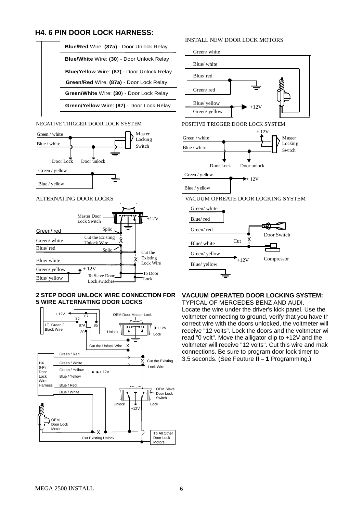### **H4. 6 PIN DOOR LOCK HARNESS:**

|  | <b>Blue/Red Wire: (87a) - Door Unlock Relay</b> |                                                   |
|--|-------------------------------------------------|---------------------------------------------------|
|  |                                                 | Blue/White Wire: (30) - Door Unlock Relay         |
|  |                                                 | <b>Blue/Yellow</b> Wire: (87) - Door Unlock Relay |
|  |                                                 | Green/Red Wire: (87a) - Door Lock Relay           |
|  |                                                 | Green/White Wire: (30) - Door Lock Relay          |
|  |                                                 | Green/Yellow Wire: (87) - Door Lock Relay         |
|  |                                                 |                                                   |

#### NEGATIVE TRIGGER DOOR LOCK SYSTEM



#### ALTERNATING DOOR LOCKS



#### **2 STEP DOOR UNLOCK WIRE CONNECTION FOR 5 WIRE ALTERNATING DOOR LOCKS**



#### INSTALL NEW DOOR LOCK MOTORS





#### VACUUM OPREATE DOOR LOCKING SYSTEM



#### **VACUUM OPERATED DOOR LOCKING SYSTEM:**

TYPICAL OF MERCEDES BENZ AND AUDI. Locate the wire under the driver's kick panel. Use the voltmeter connecting to ground, verify that you have the correct wire with the doors unlocked, the voltmeter will receive "12 volts". Lock the doors and the voltmeter will read "0 volt". Move the alligator clip to +12V and the voltmeter will receive "12 volts". Cut this wire and make connections. Be sure to program door lock timer to 3.5 seconds. (See Feuture **II – 1** Programming.)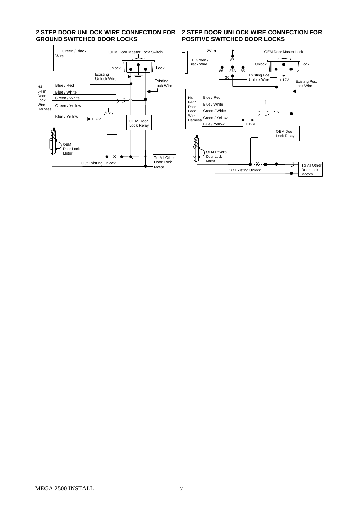# **2 STEP DOOR UNLOCK WIRE CONNECTION FOR GROUND SWITCHED DOOR LOCKS**



#### **2 STEP DOOR UNLOCK WIRE CONNECTION FOR POSITIVE SWITCHED DOOR LOCKS**

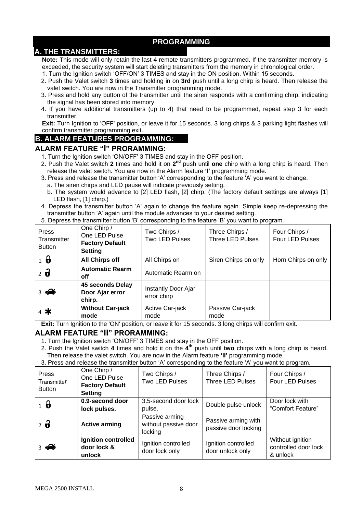# **PROGRAMMING**

# **A. THE TRANSMITTERS:**

**Note:** This mode will only retain the last 4 remote transmitters programmed. If the transmitter memory is exceeded, the security system will start deleting transmitters from the memory in chronological order.

- 1. Turn the Ignition switch 'OFF/ON' 3 TIMES and stay in the ON position. Within 15 seconds.
- 2. Push the Valet switch **3** times and holding in on **3rd** push until a long chirp is heard. Then release the valet switch. You are now in the Transmitter programming mode.
- 3. Press and hold any button of the transmitter until the siren responds with a confirming chirp, indicating the signal has been stored into memory.
- 4. If you have additional transmitters (up to 4) that need to be programmed, repeat step 3 for each transmitter.

**Exit:** Turn Ignition to 'OFF' position, or leave it for 15 seconds. 3 long chirps & 3 parking light flashes will confirm transmitter programming exit.

### **B. ALARM FEATURES PROGRAMMING:**

#### **ALARM FEATURE "I" PRORAMMING:**

- 1. Turn the Ignition switch 'ON/OFF' 3 TIMES and stay in the OFF position.
- 2. Push the Valet switch 2 times and hold it on 2<sup>nd</sup> push until one chirp with a long chirp is heard. Then release the valet switch. You are now in the Alarm feature **'I'** programming mode.
- 3. Press and release the transmitter button 'A' corresponding to the feature 'A' you want to change.
	- a. The siren chirps and LED pause will indicate previously setting.
	- b. The system would advance to [2] LED flash, [2] chirp. (The factory default settings are always [1] LED flash, [1] chirp.)
- 4. Depress the transmitter button 'A' again to change the feature again. Simple keep re-depressing the transmitter button 'A' again until the module advances to your desired setting.

| Press<br>Transmitter<br><b>Button</b> | One Chirp /<br>One LED Pulse<br><b>Factory Default</b><br><b>Setting</b> | Two Chirps /<br>Two LED Pulses     | Three Chirps /<br>Three LED Pulses | Four Chirps /<br>Four LED Pulses |
|---------------------------------------|--------------------------------------------------------------------------|------------------------------------|------------------------------------|----------------------------------|
| -0                                    | <b>All Chirps off</b>                                                    | All Chirps on                      | Siren Chirps on only               | Horn Chirps on only              |
| $2\ddot{\theta}$                      | <b>Automatic Rearm</b><br>off                                            | Automatic Rearm on                 |                                    |                                  |
| $3 \n\blacktriangle$                  | 45 seconds Delay<br>Door Ajar error<br>chirp.                            | Instantly Door Ajar<br>error chirp |                                    |                                  |
| 4 米                                   | <b>Without Car-jack</b><br>mode                                          | Active Car-jack<br>mode            | Passive Car-jack<br>mode           |                                  |

5. Depress the transmitter button 'B' corresponding to the feature 'B' you want to program.

**Exit:** Turn Ignition to the 'ON' position, or leave it for 15 seconds. 3 long chirps will confirm exit.

#### **ALARM FEATURE "II" PRORAMMING:**

1. Turn the Ignition switch 'ON/OFF' 3 TIMES and stay in the OFF position.

2. Push the Valet switch **4** times and hold it on the **4 th** push until **two** chirps with a long chirp is heard. Then release the valet switch. You are now in the Alarm feature **'II'** programming mode.

3. Press and release the transmitter button 'A' corresponding to the feature 'A' you want to program.

| Press<br>Transmitter<br><b>Button</b> | One Chirp /<br>One LED Pulse<br><b>Factory Default</b><br><b>Setting</b> | Two Chirps /<br>Two LED Pulses                    | Three Chirps /<br><b>Three LED Pulses</b>   | Four Chirps /<br>Four LED Pulses                     |
|---------------------------------------|--------------------------------------------------------------------------|---------------------------------------------------|---------------------------------------------|------------------------------------------------------|
| $1\,b$                                | 0.9-second door<br>lock pulses.                                          | 3.5-second door lock<br>pulse.                    | Double pulse unlock                         | Door lock with<br>"Comfort Feature"                  |
| $2\ddot{\mathbf{d}}$                  | <b>Active arming</b>                                                     | Passive arming<br>without passive door<br>locking | Passive arming with<br>passive door locking |                                                      |
| $\frac{1}{2}$                         | Ignition controlled<br>door lock &<br>unlock                             | Ignition controlled<br>door lock only             | Ignition controlled<br>door unlock only     | Without ignition<br>controlled door lock<br>& unlock |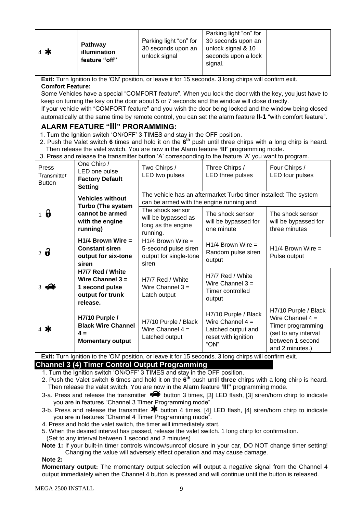| $4$ * | Pathway<br>illumination<br>feature "off" | Parking light "on" for<br>30 seconds upon an<br>unlock signal | Parking light "on" for<br>30 seconds upon an<br>unlock signal & 10<br>seconds upon a lock<br>signal. |  |
|-------|------------------------------------------|---------------------------------------------------------------|------------------------------------------------------------------------------------------------------|--|
|-------|------------------------------------------|---------------------------------------------------------------|------------------------------------------------------------------------------------------------------|--|

**Exit:** Turn Ignition to the 'ON' position, or leave it for 15 seconds. 3 long chirps will confirm exit. **Comfort Feature:**

Some Vehicles have a special "COMFORT feature". When you lock the door with the key, you just have to keep on turning the key on the door about 5 or 7 seconds and the window will close directly.

If your vehicle with "COMFORT feature" and you wish the door being locked and the window being closed automatically at the same time by remote control, you can set the alarm feature **II-1** "with comfort feature".

# **ALARM FEATURE "III" PRORAMMING:**

- 1. Turn the Ignition switch 'ON/OFF' 3 TIMES and stay in the OFF position.
- 2. Push the Valet switch **6** times and hold it on the **6 th** push until three chirps with a long chirp is heard. Then release the valet switch. You are now in the Alarm feature **'III'** programming mode.
- 3. Press and release the transmitter button 'A' corresponding to the feature 'A' you want to program.

| Press<br>Transmitter<br><b>Button</b> | One Chirp /<br>LED one pulse<br><b>Factory Default</b><br><b>Setting</b>                              | Two Chirps /<br>LED two pulses                                                                                | Three Chirps /<br>LED three pulses                                                              | Four Chirps /<br>LED four pulses                                                                                               |  |
|---------------------------------------|-------------------------------------------------------------------------------------------------------|---------------------------------------------------------------------------------------------------------------|-------------------------------------------------------------------------------------------------|--------------------------------------------------------------------------------------------------------------------------------|--|
|                                       | <b>Vehicles without</b><br><b>Turbo (The system</b><br>cannot be armed<br>with the engine<br>running) | The vehicle has an aftermarket Turbo timer installed: The system<br>can be armed with the engine running and: |                                                                                                 |                                                                                                                                |  |
| $1\theta$                             |                                                                                                       | The shock sensor<br>will be bypassed as<br>long as the engine<br>running.                                     | The shock sensor<br>will be bypassed for<br>one minute                                          | The shock sensor<br>will be bypassed for<br>three minutes                                                                      |  |
| $2\ddot{\mathbf{d}}$                  | $H1/4$ Brown Wire =<br><b>Constant siren</b><br>output for six-tone<br>siren                          | $H1/4$ Brown Wire =<br>5-second pulse siren<br>output for single-tone<br>siren                                | $H1/4$ Brown Wire =<br>Random pulse siren<br>output                                             | $H1/4$ Brown Wire =<br>Pulse output                                                                                            |  |
| $3 \n\blacktriangle$                  | H7/7 Red / White<br>Wire Channel $3 =$<br>1 second pulse<br>output for trunk<br>release.              | H7/7 Red / White<br>Wire Channel $3 =$<br>Latch output                                                        | H7/7 Red / White<br>Wire Channel $3 =$<br>Timer controlled<br>output                            |                                                                                                                                |  |
| 4 *                                   | H7/10 Purple /<br><b>Black Wire Channel</b><br>$4 =$<br><b>Momentary output</b>                       | H7/10 Purple / Black<br>Wire Channel $4 =$<br>Latched output                                                  | H7/10 Purple / Black<br>Wire Channel $4 =$<br>Latched output and<br>reset with ignition<br>"ON" | H7/10 Purple / Black<br>Wire Channel $4 =$<br>Timer programming<br>(set to any interval<br>between 1 second<br>and 2 minutes.) |  |

**Exit:** Turn Ignition to the 'ON' position, or leave it for 15 seconds. 3 long chirps will confirm exit.

# **Channel 3 (4) Timer Control Output Programming**

- 1. Turn the Ignition switch 'ON/OFF' 3 TIMES and stay in the OFF position.
- 2. Push the Valet switch **6** times and hold it on the **6 th** push until **three** chirps with a long chirp is heard. Then release the valet switch. You are now in the Alarm feature **'III"** programming mode.
- 3-a. Press and release the transmitter  $\blacktriangleleft$  button 3 times, [3] LED flash, [3] siren/horn chirp to indicate you are in features "Channel 3 Timer Programming mode".
- 3-b. Press and release the transmitter  $\mathbf{\textbf{*}}$  button 4 times, [4] LED flash, [4] siren/horn chirp to indicate you are in features "Channel 4 Timer Programming mode".
- 4. Press and hold the valet switch, the timer will immediately start.
- 5. When the desired interval has passed, release the valet switch. 1 long chirp for confirmation.
- (Set to any interval between 1 second and 2 minutes)
- **Note 1:** If your built-in timer controls window/sunroof closure in your car, DO NOT change timer setting! Changing the value will adversely effect operation and may cause damage.

#### **Note 2:**

**Momentary output:** The momentary output selection will output a negative signal from the Channel 4 output immediately when the Channel 4 button is pressed and will continue until the button is released.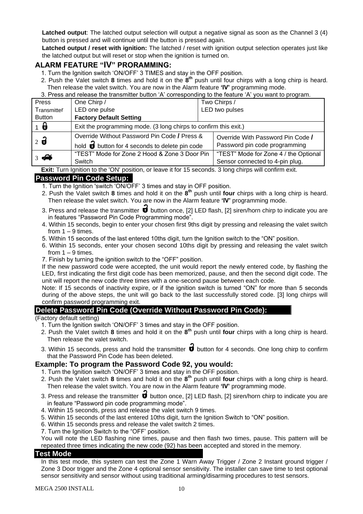**Latched output:** The latched output selection will output a negative signal as soon as the Channel 3 (4) button is pressed and will continue until the button is pressed again.

**Latched output / reset with ignition:** The latched / reset with ignition output selection operates just like the latched output but will reset or stop when the ignition is turned on.

# **ALARM FEATURE "IV" PRORAMMING:**

- 1. Turn the Ignition switch 'ON/OFF' 3 TIMES and stay in the OFF position.
- 2. Push the Valet switch **8** times and hold it on the **8 th** push until four chirps with a long chirp is heard. Then release the valet switch. You are now in the Alarm feature **'IV'** programming mode.
- 3. Press and release the transmitter button 'A' corresponding to the feature 'A' you want to program.

| Press            | One Chirp /                                                            |  | Two Chirps /                          |
|------------------|------------------------------------------------------------------------|--|---------------------------------------|
| Transmitter      | LED one pulse                                                          |  | LED two pulses                        |
| <b>Button</b>    | <b>Factory Default Setting</b>                                         |  |                                       |
| $1\theta$        | Exit the programming mode. (3 long chirps to confirm this exit.)       |  |                                       |
| $2\ddot{\theta}$ | Override Without Password Pin Code / Press &                           |  | Override With Password Pin Code /     |
|                  | hold $\overrightarrow{\theta}$ button for 4 seconds to delete pin code |  | Password pin code programming         |
| $3\sqrt{2}$      | "TEST" Mode for Zone 2 Hood & Zone 3 Door Pin                          |  | "TEST" Mode for Zone 4 / the Optional |
|                  | Switch                                                                 |  | Sensor connected to 4-pin plug.       |

**Exit:** Turn Ignition to the 'ON' position, or leave it for 15 seconds. 3 long chirps will confirm exit.

### **Password Pin Code Setup:**

- 1. Turn the Ignition 'switch 'ON/OFF' 3 times and stay in OFF position.
- 2. Push the Valet switch **8** times and hold it on the **8 th** push until **four** chirps with a long chirp is heard. Then release the valet switch. You are now in the Alarm feature **'IV'** programming mode.
- 3. Press and release the transmitter  $\overrightarrow{\bm{v}}$  button once, [2] LED flash, [2] siren/horn chirp to indicate you are in features "Password Pin Code Programming mode".
- 4. Within 15 seconds, begin to enter your chosen first 9ths digit by pressing and releasing the valet switch from  $1 - 9$  times.
- 5. Within 15 seconds of the last entered 10ths digit, turn the Ignition switch to the "ON" position.
- 6. Within 15 seconds, enter your chosen second 10ths digit by pressing and releasing the valet switch from 1 – 9 times.
- 7. Finish by turning the ignition switch to the "OFF" position.

If the new password code were accepted, the unit would report the newly entered code, by flashing the LED, first indicating the first digit code has been memorized, pause, and then the second digit code. The unit will report the new code three times with a one-second pause between each code.

Note: If 15 seconds of inactivity expire, or if the ignition switch is turned "ON" for more than 5 seconds during of the above steps, the unit will go back to the last successfully stored code. [3] long chirps will confirm password programming exit.

#### **Delete Password Pin Code (Override Without Password Pin Code):**

#### (Factory default setting)

- 1. Turn the Ignition switch 'ON/OFF' 3 times and stay in the OFF position.
- 2. Push the Valet switch **8** times and hold it on the **8 th** push until **four** chirps with a long chirp is heard. Then release the valet switch.
- 3. Within 15 seconds, press and hold the transmitter  $\overrightarrow{\mathbf{u}}$  button for 4 seconds. One long chirp to confirm that the Password Pin Code has been deleted.

#### **Example: To program the Password Code 92, you would:**

- 1. Turn the Ignition switch 'ON/OFF' 3 times and stay in the OFF position.
- 2. Push the Valet switch **8** times and hold it on the **8 th** push until **four** chirps with a long chirp is heard. Then release the valet switch. You are now in the Alarm feature **'IV'** programming mode.
- 3. Press and release the transmitter  $\overrightarrow{\bm{u}}$  button once, [2] LED flash, [2] siren/horn chirp to indicate you are in feature "Password pin code programming mode".
- 4. Within 15 seconds, press and release the valet switch 9 times.
- 5. Within 15 seconds of the last entered 10ths digit, turn the Ignition Switch to "ON" position.
- 6. Within 15 seconds press and release the valet switch 2 times.
- 7. Turn the Ignition Switch to the "OFF' position.

You will note the LED flashing nine times, pause and then flash two times, pause. This pattern will be repeated three times indicating the new code (92) has been accepted and stored in the memory.

#### **Test Mode**

In this test mode, this system can test the Zone 1 Warn Away Trigger / Zone 2 Instant ground trigger / Zone 3 Door trigger and the Zone 4 optional sensor sensitivity. The installer can save time to test optional sensor sensitivity and sensor without using traditional arming/disarming procedures to test sensors.